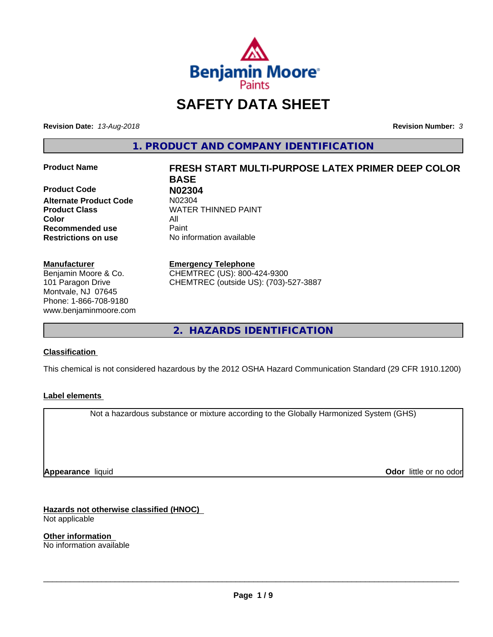

# **SAFETY DATA SHEET**

**Revision Date:** *13-Aug-2018* **Revision Number:** *3*

**1. PRODUCT AND COMPANY IDENTIFICATION**

**Product Code 1988 102304**<br>**Alternate Product Code** 102304 **Alternate Product Code Color** All **Recommended use** Paint **Restrictions on use** No information available

#### **Manufacturer**

Benjamin Moore & Co. 101 Paragon Drive Montvale, NJ 07645 Phone: 1-866-708-9180 www.benjaminmoore.com

# **Product Name FRESH START MULTI-PURPOSE LATEX PRIMER DEEP COLOR BASE Product Class WATER THINNED PAINT**

#### **Emergency Telephone**

CHEMTREC (US): 800-424-9300 CHEMTREC (outside US): (703)-527-3887

**2. HAZARDS IDENTIFICATION**

### **Classification**

This chemical is not considered hazardous by the 2012 OSHA Hazard Communication Standard (29 CFR 1910.1200)

### **Label elements**

Not a hazardous substance or mixture according to the Globally Harmonized System (GHS)

**Appearance** liquid

**Odor** little or no odor

**Hazards not otherwise classified (HNOC)** Not applicable

**Other information** No information available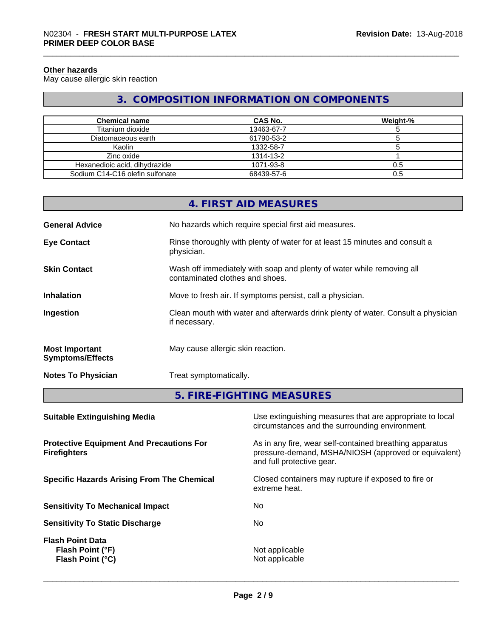#### **Other hazards**

May cause allergic skin reaction

# **3. COMPOSITION INFORMATION ON COMPONENTS**

| <b>Chemical name</b>            | <b>CAS No.</b> | Weight-% |
|---------------------------------|----------------|----------|
| Titanium dioxide                | 13463-67-7     |          |
| Diatomaceous earth              | 61790-53-2     |          |
| Kaolin                          | 1332-58-7      |          |
| Zinc oxide                      | 1314-13-2      |          |
| Hexanedioic acid, dihydrazide   | 1071-93-8      | 0.5      |
| Sodium C14-C16 olefin sulfonate | 68439-57-6     | 0.5      |

|                                                  | 4. FIRST AID MEASURES                                                                                    |
|--------------------------------------------------|----------------------------------------------------------------------------------------------------------|
| <b>General Advice</b>                            | No hazards which require special first aid measures.                                                     |
| <b>Eye Contact</b>                               | Rinse thoroughly with plenty of water for at least 15 minutes and consult a<br>physician.                |
| <b>Skin Contact</b>                              | Wash off immediately with soap and plenty of water while removing all<br>contaminated clothes and shoes. |
| <b>Inhalation</b>                                | Move to fresh air. If symptoms persist, call a physician.                                                |
| Ingestion                                        | Clean mouth with water and afterwards drink plenty of water. Consult a physician<br>if necessary.        |
| <b>Most Important</b><br><b>Symptoms/Effects</b> | May cause allergic skin reaction.                                                                        |
| <b>Notes To Physician</b>                        | Treat symptomatically.                                                                                   |

**5. FIRE-FIGHTING MEASURES**

| <b>Suitable Extinguishing Media</b>                                    | Use extinguishing measures that are appropriate to local<br>circumstances and the surrounding environment.                                   |
|------------------------------------------------------------------------|----------------------------------------------------------------------------------------------------------------------------------------------|
| <b>Protective Equipment And Precautions For</b><br><b>Firefighters</b> | As in any fire, wear self-contained breathing apparatus<br>pressure-demand, MSHA/NIOSH (approved or equivalent)<br>and full protective gear. |
| <b>Specific Hazards Arising From The Chemical</b>                      | Closed containers may rupture if exposed to fire or<br>extreme heat.                                                                         |
| <b>Sensitivity To Mechanical Impact</b>                                | No.                                                                                                                                          |
| <b>Sensitivity To Static Discharge</b>                                 | No.                                                                                                                                          |
| <b>Flash Point Data</b><br>Flash Point (°F)<br><b>Flash Point (°C)</b> | Not applicable<br>Not applicable                                                                                                             |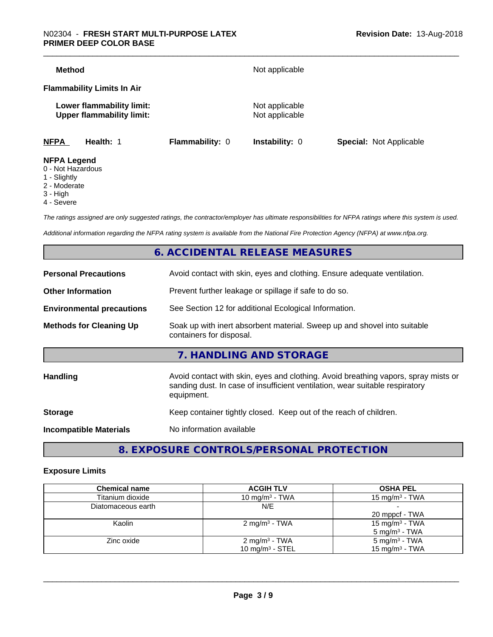#### \_\_\_\_\_\_\_\_\_\_\_\_\_\_\_\_\_\_\_\_\_\_\_\_\_\_\_\_\_\_\_\_\_\_\_\_\_\_\_\_\_\_\_\_\_\_\_\_\_\_\_\_\_\_\_\_\_\_\_\_\_\_\_\_\_\_\_\_\_\_\_\_\_\_\_\_\_\_\_\_\_\_\_\_\_\_\_\_\_\_\_\_\_ N02304 - **FRESH START MULTI-PURPOSE LATEX PRIMER DEEP COLOR BASE**

| Method                                                        |                 | Not applicable                   |                                |
|---------------------------------------------------------------|-----------------|----------------------------------|--------------------------------|
| <b>Flammability Limits In Air</b>                             |                 |                                  |                                |
| Lower flammability limit:<br><b>Upper flammability limit:</b> |                 | Not applicable<br>Not applicable |                                |
| <b>NFPA</b><br>Health: 1                                      | Flammability: 0 | <b>Instability: 0</b>            | <b>Special: Not Applicable</b> |
| <b>NFPA Legend</b><br>$\bigcap$ Niat Liamandaun               |                 |                                  |                                |

- 0 Not Hazardous
- 1 Slightly
- 2 Moderate
- 3 High
- 4 Severe

*The ratings assigned are only suggested ratings, the contractor/employer has ultimate responsibilities for NFPA ratings where this system is used.*

*Additional information regarding the NFPA rating system is available from the National Fire Protection Agency (NFPA) at www.nfpa.org.*

# **6. ACCIDENTAL RELEASE MEASURES**

| <b>Personal Precautions</b>      | Avoid contact with skin, eyes and clothing. Ensure adequate ventilation.                                                                                                         |
|----------------------------------|----------------------------------------------------------------------------------------------------------------------------------------------------------------------------------|
| <b>Other Information</b>         | Prevent further leakage or spillage if safe to do so.                                                                                                                            |
| <b>Environmental precautions</b> | See Section 12 for additional Ecological Information.                                                                                                                            |
| <b>Methods for Cleaning Up</b>   | Soak up with inert absorbent material. Sweep up and shovel into suitable<br>containers for disposal.                                                                             |
|                                  | 7. HANDLING AND STORAGE                                                                                                                                                          |
| Handling                         | Avoid contact with skin, eyes and clothing. Avoid breathing vapors, spray mists or<br>sanding dust. In case of insufficient ventilation, wear suitable respiratory<br>equipment. |
| <b>Storage</b>                   | Keep container tightly closed. Keep out of the reach of children.                                                                                                                |
| <b>Incompatible Materials</b>    | No information available                                                                                                                                                         |
|                                  |                                                                                                                                                                                  |

**8. EXPOSURE CONTROLS/PERSONAL PROTECTION**

#### **Exposure Limits**

| <b>Chemical name</b> | <b>ACGIH TLV</b>          | <b>OSHA PEL</b>            |
|----------------------|---------------------------|----------------------------|
| Titanium dioxide     | 10 mg/m $3$ - TWA         | 15 mg/m $3$ - TWA          |
| Diatomaceous earth   | N/E                       |                            |
|                      |                           | 20 mppcf - TWA             |
| Kaolin               | 2 mg/m <sup>3</sup> - TWA | 15 mg/m <sup>3</sup> - TWA |
|                      |                           | $5 \text{ mg/m}^3$ - TWA   |
| Zinc oxide           | 2 mg/m $3$ - TWA          | $5 \text{ mg/m}^3$ - TWA   |
|                      | 10 mg/m $3 -$ STEL        | 15 mg/m <sup>3</sup> - TWA |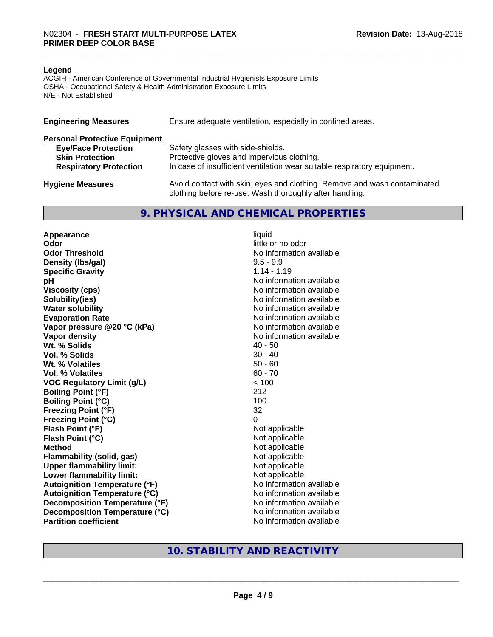#### **Legend**

ACGIH - American Conference of Governmental Industrial Hygienists Exposure Limits OSHA - Occupational Safety & Health Administration Exposure Limits N/E - Not Established

| <b>Engineering Measures</b>          | Ensure adequate ventilation, especially in confined areas.                                                                          |  |  |
|--------------------------------------|-------------------------------------------------------------------------------------------------------------------------------------|--|--|
| <b>Personal Protective Equipment</b> |                                                                                                                                     |  |  |
| <b>Eye/Face Protection</b>           | Safety glasses with side-shields.                                                                                                   |  |  |
| <b>Skin Protection</b>               | Protective gloves and impervious clothing.                                                                                          |  |  |
| <b>Respiratory Protection</b>        | In case of insufficient ventilation wear suitable respiratory equipment.                                                            |  |  |
| <b>Hygiene Measures</b>              | Avoid contact with skin, eyes and clothing. Remove and wash contaminated<br>clothing before re-use. Wash thoroughly after handling. |  |  |

### **9. PHYSICAL AND CHEMICAL PROPERTIES**

**Appearance** liquid **Odor** little or no odor **Odor Threshold No information available No information available Density (lbs/gal)** 9.5 - 9.9<br> **Specific Gravity** 3.14 - 1.19 **Specific Gravity pH pH**  $\blacksquare$ **Viscosity (cps)** No information available **Solubility(ies)** No information available **Water solubility** No information available **Evaporation Rate No information available No information available Vapor pressure @20 °C (kPa)** No information available **Vapor density**<br> **We Solids**<br>
We Solid With the Solid Support of the Music Contract Addersition available<br>
Music Contract Addersition available<br>
Music Contract Addersition available Wt. % Solids **Vol. % Solids** 30 - 40 **Wt. % Volatiles** 50 - 60 **Vol. % Volatiles** 60 - 70 **VOC Regulatory Limit (g/L)** < 100 **Boiling Point (°F)** 212 **Boiling Point (°C)** 100 **Freezing Point (°F)** 32 **Freezing Point (°C)** 0 **Flash Point (°F)**<br> **Flash Point (°C)**<br> **Flash Point (°C)**<br> **Not** applicable<br>
Not applicable **Flash Point (°C) Method** Not applicable<br> **Flammability (solid, gas)** Not applicable Not applicable **Flammability (solid, gas)**<br> **Upper flammability limit:**<br>
Upper flammability limit: **Upper flammability limit:**<br> **Lower flammability limit:** Not applicable Not applicable **Lower flammability limit: Autoignition Temperature (°F)** No information available **Autoignition Temperature (°C)** No information available **Decomposition Temperature (°F)** No information available **Decomposition Temperature (°C)** No information available **Partition coefficient** No information available

# **10. STABILITY AND REACTIVITY**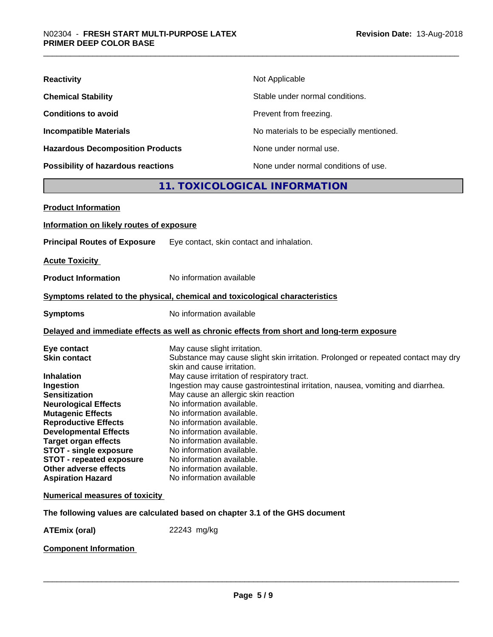| <b>Reactivity</b>                         | Not Applicable                           |
|-------------------------------------------|------------------------------------------|
| <b>Chemical Stability</b>                 | Stable under normal conditions.          |
| <b>Conditions to avoid</b>                | Prevent from freezing.                   |
| <b>Incompatible Materials</b>             | No materials to be especially mentioned. |
| <b>Hazardous Decomposition Products</b>   | None under normal use.                   |
| <b>Possibility of hazardous reactions</b> | None under normal conditions of use.     |

# **11. TOXICOLOGICAL INFORMATION**

| <b>Product Information</b>                                                                                                                                                                                                                         |                                                                                                                                                                                                                                                                                                                         |
|----------------------------------------------------------------------------------------------------------------------------------------------------------------------------------------------------------------------------------------------------|-------------------------------------------------------------------------------------------------------------------------------------------------------------------------------------------------------------------------------------------------------------------------------------------------------------------------|
| Information on likely routes of exposure                                                                                                                                                                                                           |                                                                                                                                                                                                                                                                                                                         |
| <b>Principal Routes of Exposure</b>                                                                                                                                                                                                                | Eye contact, skin contact and inhalation.                                                                                                                                                                                                                                                                               |
| <b>Acute Toxicity</b>                                                                                                                                                                                                                              |                                                                                                                                                                                                                                                                                                                         |
| <b>Product Information</b>                                                                                                                                                                                                                         | No information available                                                                                                                                                                                                                                                                                                |
|                                                                                                                                                                                                                                                    | Symptoms related to the physical, chemical and toxicological characteristics                                                                                                                                                                                                                                            |
| <b>Symptoms</b>                                                                                                                                                                                                                                    | No information available                                                                                                                                                                                                                                                                                                |
|                                                                                                                                                                                                                                                    | Delayed and immediate effects as well as chronic effects from short and long-term exposure                                                                                                                                                                                                                              |
| Eye contact<br><b>Skin contact</b><br><b>Inhalation</b><br>Ingestion<br><b>Sensitization</b>                                                                                                                                                       | May cause slight irritation.<br>Substance may cause slight skin irritation. Prolonged or repeated contact may dry<br>skin and cause irritation.<br>May cause irritation of respiratory tract.<br>Ingestion may cause gastrointestinal irritation, nausea, vomiting and diarrhea.<br>May cause an allergic skin reaction |
| <b>Neurological Effects</b><br><b>Mutagenic Effects</b><br><b>Reproductive Effects</b><br><b>Developmental Effects</b><br><b>Target organ effects</b><br><b>STOT - single exposure</b><br><b>STOT - repeated exposure</b><br>Other adverse effects | No information available.<br>No information available.<br>No information available.<br>No information available.<br>No information available.<br>No information available.<br>No information available.<br>No information available.                                                                                    |
| <b>Aspiration Hazard</b>                                                                                                                                                                                                                           | No information available                                                                                                                                                                                                                                                                                                |
| <b>Numerical measures of toxicity</b>                                                                                                                                                                                                              | The following values are calculated based on chapter 3.1 of the GHS document                                                                                                                                                                                                                                            |
| <b>ATEmix (oral)</b>                                                                                                                                                                                                                               | 22243 mg/kg                                                                                                                                                                                                                                                                                                             |
|                                                                                                                                                                                                                                                    |                                                                                                                                                                                                                                                                                                                         |

**Component Information**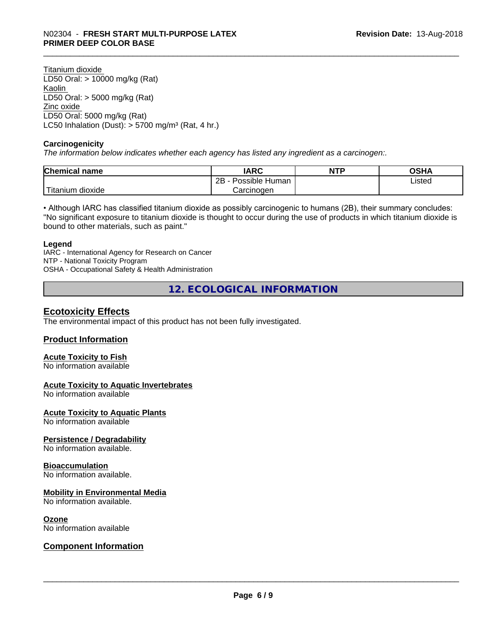Titanium dioxide LD50 Oral: > 10000 mg/kg (Rat) Kaolin LD50 Oral: > 5000 mg/kg (Rat) Zinc oxide LD50 Oral: 5000 mg/kg (Rat) LC50 Inhalation (Dust):  $> 5700$  mg/m<sup>3</sup> (Rat, 4 hr.)

#### **Carcinogenicity**

*The information below indicateswhether each agency has listed any ingredient as a carcinogen:.*

| <b>Chemical</b><br>name | <b>IARC</b>                  | <b>NTP</b> | <b>OSHA</b> |
|-------------------------|------------------------------|------------|-------------|
|                         | .<br>2B<br>Possible<br>Human |            | Listed      |
| n dioxide<br>l itanıum  | Carcinoɑen                   |            |             |

• Although IARC has classified titanium dioxide as possibly carcinogenic to humans (2B), their summary concludes: "No significant exposure to titanium dioxide is thought to occur during the use of products in which titanium dioxide is bound to other materials, such as paint."

#### **Legend**

IARC - International Agency for Research on Cancer NTP - National Toxicity Program OSHA - Occupational Safety & Health Administration

**12. ECOLOGICAL INFORMATION**

## **Ecotoxicity Effects**

The environmental impact of this product has not been fully investigated.

#### **Product Information**

#### **Acute Toxicity to Fish**

No information available

#### **Acute Toxicity to Aquatic Invertebrates**

No information available

#### **Acute Toxicity to Aquatic Plants**

No information available

#### **Persistence / Degradability**

No information available.

#### **Bioaccumulation**

No information available.

#### **Mobility in Environmental Media**

No information available.

#### **Ozone**

No information available

### **Component Information**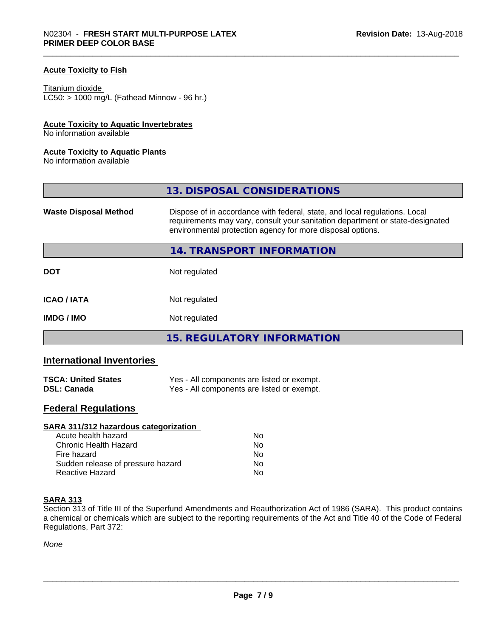#### **Acute Toxicity to Fish**

Titanium dioxide  $LC50:$  > 1000 mg/L (Fathead Minnow - 96 hr.)

#### **Acute Toxicity to Aquatic Invertebrates**

No information available

#### **Acute Toxicity to Aquatic Plants**

No information available

|                              | 13. DISPOSAL CONSIDERATIONS                                                                                                                                                                                               |
|------------------------------|---------------------------------------------------------------------------------------------------------------------------------------------------------------------------------------------------------------------------|
| <b>Waste Disposal Method</b> | Dispose of in accordance with federal, state, and local regulations. Local<br>requirements may vary, consult your sanitation department or state-designated<br>environmental protection agency for more disposal options. |
|                              | 14. TRANSPORT INFORMATION                                                                                                                                                                                                 |
| <b>DOT</b>                   | Not regulated                                                                                                                                                                                                             |
| <b>ICAO/IATA</b>             | Not regulated                                                                                                                                                                                                             |
| <b>IMDG/IMO</b>              | Not regulated                                                                                                                                                                                                             |
|                              | 15. REGULATORY INFORMATION                                                                                                                                                                                                |

# **International Inventories**

| <b>TSCA: United States</b> | Yes - All components are listed or exempt. |
|----------------------------|--------------------------------------------|
| <b>DSL: Canada</b>         | Yes - All components are listed or exempt. |

# **Federal Regulations**

| SARA 311/312 hazardous categorization |    |  |
|---------------------------------------|----|--|
| Acute health hazard                   | Nο |  |
| Chronic Health Hazard                 | No |  |
| Fire hazard                           | No |  |
| Sudden release of pressure hazard     | Nο |  |
| <b>Reactive Hazard</b>                | No |  |

### **SARA 313**

Section 313 of Title III of the Superfund Amendments and Reauthorization Act of 1986 (SARA). This product contains a chemical or chemicals which are subject to the reporting requirements of the Act and Title 40 of the Code of Federal Regulations, Part 372:

*None*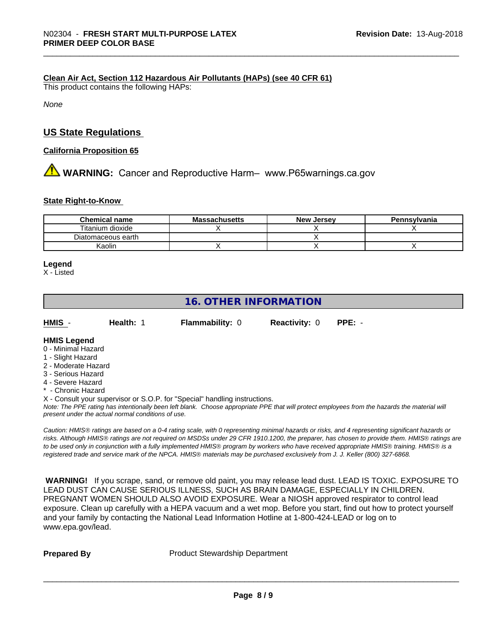#### **Clean Air Act,Section 112 Hazardous Air Pollutants (HAPs) (see 40 CFR 61)**

This product contains the following HAPs:

*None*

## **US State Regulations**

#### **California Proposition 65**

**AN** WARNING: Cancer and Reproductive Harm– www.P65warnings.ca.gov

#### **State Right-to-Know**

| <b>Chemical name</b> | <b>Massachusetts</b> | <b>New</b><br>. Jersev | Pennsylvania |
|----------------------|----------------------|------------------------|--------------|
| Titanium dioxide     |                      |                        |              |
| Diatomaceous earth   |                      |                        |              |
| Kaolin               |                      |                        |              |

#### **Legend**

X - Listed

# **16. OTHER INFORMATION**

| HMIS | Health: <b>N</b> | <b>Flammability: 0</b> | <b>Reactivity: 0 PPE: -</b> |  |
|------|------------------|------------------------|-----------------------------|--|
| .    |                  |                        |                             |  |

#### **HMIS Legend** 0 - Minimal Hazard

- 1 Slight Hazard
- 2 Moderate Hazard
- 3 Serious Hazard
- 4 Severe Hazard
- **Chronic Hazard**

X - Consult your supervisor or S.O.P. for "Special" handling instructions.

*Note: The PPE rating has intentionally been left blank. Choose appropriate PPE that will protect employees from the hazards the material will present under the actual normal conditions of use.*

*Caution: HMISÒ ratings are based on a 0-4 rating scale, with 0 representing minimal hazards or risks, and 4 representing significant hazards or risks. Although HMISÒ ratings are not required on MSDSs under 29 CFR 1910.1200, the preparer, has chosen to provide them. HMISÒ ratings are to be used only in conjunction with a fully implemented HMISÒ program by workers who have received appropriate HMISÒ training. HMISÒ is a registered trade and service mark of the NPCA. HMISÒ materials may be purchased exclusively from J. J. Keller (800) 327-6868.*

 **WARNING!** If you scrape, sand, or remove old paint, you may release lead dust. LEAD IS TOXIC. EXPOSURE TO LEAD DUST CAN CAUSE SERIOUS ILLNESS, SUCH AS BRAIN DAMAGE, ESPECIALLY IN CHILDREN. PREGNANT WOMEN SHOULD ALSO AVOID EXPOSURE.Wear a NIOSH approved respirator to control lead exposure. Clean up carefully with a HEPA vacuum and a wet mop. Before you start, find out how to protect yourself and your family by contacting the National Lead Information Hotline at 1-800-424-LEAD or log on to www.epa.gov/lead.

**Prepared By** Product Stewardship Department